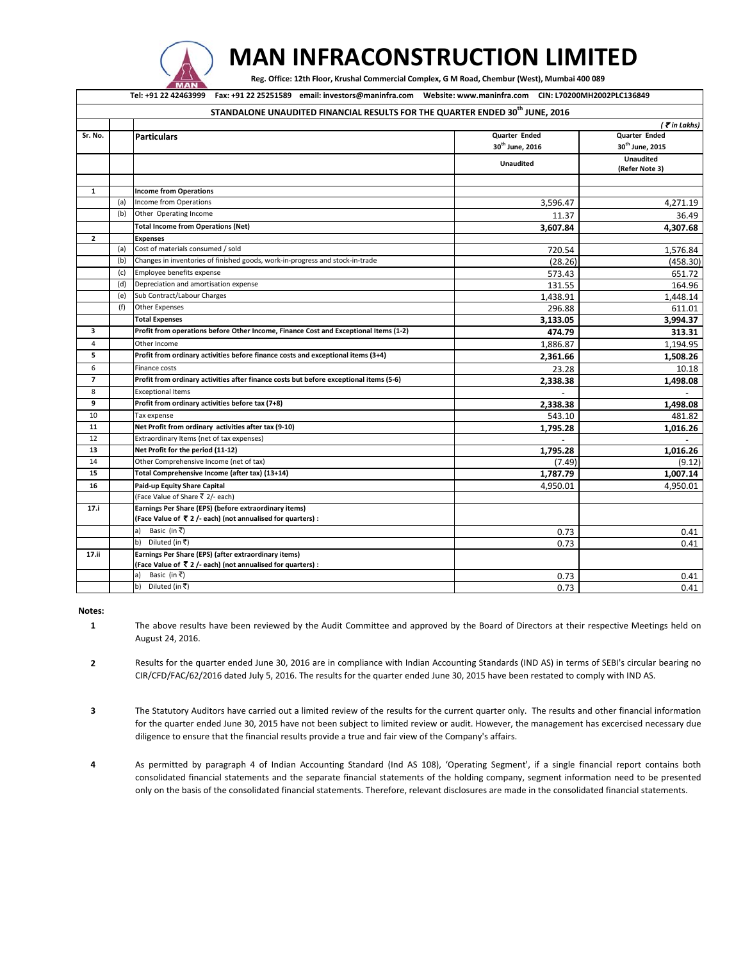

## **MAN INFRACONSTRUCTION LIMITED**

Reg. Office: 12th Floor, Krushal Commercial Complex, G M Road, Chembur (West), Mumbai 400 089

Tel: +91 22 42463999 Fax: +91 22 25251589 email: investors@maninfra.com Website: www.maninfra.com CIN: L70200MH2002PLC136849

| STANDALONE UNAUDITED FINANCIAL RESULTS FOR THE QUARTER ENDED 30 <sup>th</sup> JUNE, 2016 |     |                                                                                        |                             |                                    |
|------------------------------------------------------------------------------------------|-----|----------------------------------------------------------------------------------------|-----------------------------|------------------------------------|
|                                                                                          |     | (₹in Lakhs)                                                                            |                             |                                    |
| Sr. No.                                                                                  |     | <b>Particulars</b>                                                                     | <b>Quarter Ended</b>        | <b>Quarter Ended</b>               |
|                                                                                          |     |                                                                                        | 30 <sup>th</sup> June. 2016 | 30 <sup>th</sup> June. 2015        |
|                                                                                          |     |                                                                                        | Unaudited                   | <b>Unaudited</b><br>(Refer Note 3) |
|                                                                                          |     |                                                                                        |                             |                                    |
| $\mathbf{1}$                                                                             |     | <b>Income from Operations</b>                                                          |                             |                                    |
|                                                                                          | (a) | Income from Operations                                                                 | 3,596.47                    | 4,271.19                           |
|                                                                                          | (b) | Other Operating Income                                                                 | 11.37                       | 36.49                              |
|                                                                                          |     | <b>Total Income from Operations (Net)</b>                                              | 3,607.84                    | 4,307.68                           |
| $\overline{2}$                                                                           |     | <b>Expenses</b>                                                                        |                             |                                    |
|                                                                                          | (a) | Cost of materials consumed / sold                                                      | 720.54                      | 1,576.84                           |
|                                                                                          | (b) | Changes in inventories of finished goods, work-in-progress and stock-in-trade          | (28.26)                     | (458.30)                           |
|                                                                                          | (c) | Employee benefits expense                                                              | 573.43                      | 651.72                             |
|                                                                                          | (d) | Depreciation and amortisation expense                                                  | 131.55                      | 164.96                             |
|                                                                                          | (e) | Sub Contract/Labour Charges                                                            | 1.438.91                    | 1,448.14                           |
|                                                                                          | (f) | <b>Other Expenses</b>                                                                  | 296.88                      | 611.01                             |
|                                                                                          |     | <b>Total Expenses</b>                                                                  | 3,133.05                    | 3,994.37                           |
| 3                                                                                        |     | Profit from operations before Other Income, Finance Cost and Exceptional Items (1-2)   | 474.79                      | 313.31                             |
| $\overline{4}$                                                                           |     | Other Income                                                                           | 1,886.87                    | 1,194.95                           |
| 5                                                                                        |     | Profit from ordinary activities before finance costs and exceptional items (3+4)       | 2,361.66                    | 1,508.26                           |
| 6                                                                                        |     | Finance costs                                                                          | 23.28                       | 10.18                              |
| $\overline{7}$                                                                           |     | Profit from ordinary activities after finance costs but before exceptional items (5-6) | 2,338.38                    | 1,498.08                           |
| 8                                                                                        |     | <b>Exceptional Items</b>                                                               | $\blacksquare$              |                                    |
| 9                                                                                        |     | Profit from ordinary activities before tax (7+8)                                       | 2,338.38                    | 1,498.08                           |
| 10                                                                                       |     | Tax expense                                                                            | 543.10                      | 481.82                             |
| 11                                                                                       |     | Net Profit from ordinary activities after tax (9-10)                                   | 1,795.28                    | 1,016.26                           |
| 12                                                                                       |     | Extraordinary Items (net of tax expenses)                                              |                             |                                    |
| 13                                                                                       |     | Net Profit for the period (11-12)                                                      | 1,795.28                    | 1,016.26                           |
| 14                                                                                       |     | Other Comprehensive Income (net of tax)                                                | (7.49)                      | (9.12)                             |
| 15                                                                                       |     | Total Comprehensive Income (after tax) (13+14)                                         | 1,787.79                    | 1,007.14                           |
| 16                                                                                       |     | Paid-up Equity Share Capital                                                           | 4,950.01                    | 4,950.01                           |
|                                                                                          |     | (Face Value of Share ₹ 2/- each)                                                       |                             |                                    |
| 17.1                                                                                     |     | Earnings Per Share (EPS) (before extraordinary items)                                  |                             |                                    |
|                                                                                          |     | (Face Value of ₹ 2 /- each) (not annualised for quarters) :                            |                             |                                    |
|                                                                                          |     | Basic (in ₹)<br>a)                                                                     | 0.73                        | 0.41                               |
|                                                                                          |     | Diluted (in ₹)<br>b)                                                                   | 0.73                        | 0.41                               |
| 17.ii                                                                                    |     | Earnings Per Share (EPS) (after extraordinary items)                                   |                             |                                    |
|                                                                                          |     | (Face Value of ₹ 2 /- each) (not annualised for quarters) :                            |                             |                                    |
|                                                                                          |     | Basic (in ₹)<br>a)                                                                     | 0.73                        | 0.41                               |
|                                                                                          |     | b)<br>Diluted (in ₹)                                                                   | 0.73                        | 0.41                               |

**Notes:**

**1** The above results have been reviewed by the Audit Committee and approved by the Board of Directors at their respective Meetings held on August 24, 2016.

**2** Results for the quarter ended June 30, 2016 are in compliance with Indian Accounting Standards (IND AS) in terms of SEBI's circular bearing no CIR/CFD/FAC/62/2016 dated July 5, 2016. The results for the quarter ended June 30, 2015 have been restated to comply with IND AS.

**3** The Statutory Auditors have carried out a limited review of the results for the current quarter only. The results and other financial information for the quarter ended June 30, 2015 have not been subject to limited review or audit. However, the management has excercised necessary due diligence to ensure that the financial results provide a true and fair view of the Company's affairs.

**4** As permitted by paragraph 4 of Indian Accounting Standard (Ind AS 108), 'Operating Segment', if a single financial report contains both consolidated financial statements and the separate financial statements of the holding company, segment information need to be presented only on the basis of the consolidated financial statements. Therefore, relevant disclosures are made in the consolidated financial statements.